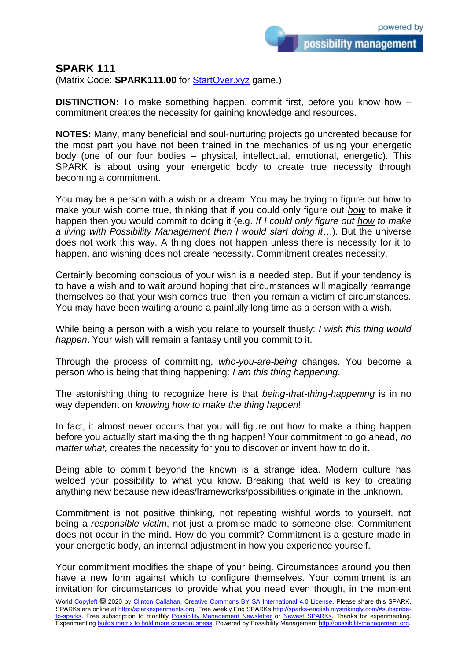possibility management

## **SPARK 111**

(Matrix Code: **SPARK111.00** for **StartOver.xyz** game.)

**DISTINCTION:** To make something happen, commit first, before you know how – commitment creates the necessity for gaining knowledge and resources.

**NOTES:** Many, many beneficial and soul-nurturing projects go uncreated because for the most part you have not been trained in the mechanics of using your energetic body (one of our four bodies – physical, intellectual, emotional, energetic). This SPARK is about using your energetic body to create true necessity through becoming a commitment.

You may be a person with a wish or a dream. You may be trying to figure out how to make your wish come true, thinking that if you could only figure out *how* to make it happen then you would commit to doing it (e.g. *If I could only figure out how to make a living with Possibility Management then I would start doing it…*). But the universe does not work this way. A thing does not happen unless there is necessity for it to happen, and wishing does not create necessity. Commitment creates necessity.

Certainly becoming conscious of your wish is a needed step. But if your tendency is to have a wish and to wait around hoping that circumstances will magically rearrange themselves so that your wish comes true, then you remain a victim of circumstances. You may have been waiting around a painfully long time as a person with a wish.

While being a person with a wish you relate to yourself thusly: *I wish this thing would happen*. Your wish will remain a fantasy until you commit to it.

Through the process of committing, *who-you-are-being* changes. You become a person who is being that thing happening: *I am this thing happening*.

The astonishing thing to recognize here is that *being-that-thing-happening* is in no way dependent on *knowing how to make the thing happen*!

In fact, it almost never occurs that you will figure out how to make a thing happen before you actually start making the thing happen! Your commitment to go ahead, *no matter what,* creates the necessity for you to discover or invent how to do it.

Being able to commit beyond the known is a strange idea. Modern culture has welded your possibility to what you know. Breaking that weld is key to creating anything new because new ideas/frameworks/possibilities originate in the unknown.

Commitment is not positive thinking, not repeating wishful words to yourself, not being a *responsible victim*, not just a promise made to someone else. Commitment does not occur in the mind. How do you commit? Commitment is a gesture made in your energetic body, an internal adjustment in how you experience yourself.

Your commitment modifies the shape of your being. Circumstances around you then have a new form against which to configure themselves. Your commitment is an invitation for circumstances to provide what you need even though, in the moment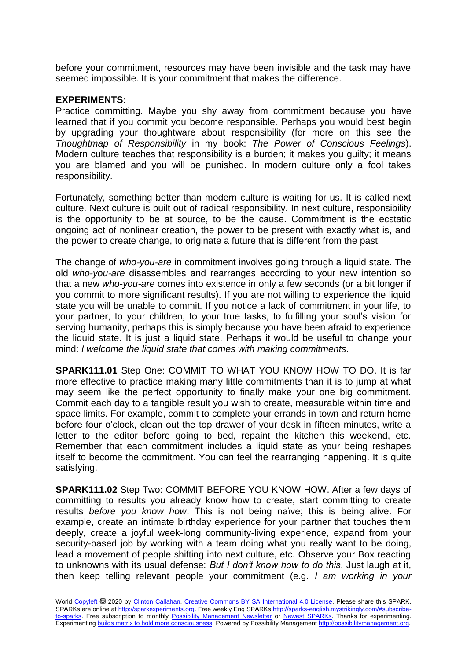before your commitment, resources may have been invisible and the task may have seemed impossible. It is your commitment that makes the difference.

## **EXPERIMENTS:**

Practice committing. Maybe you shy away from commitment because you have learned that if you commit you become responsible. Perhaps you would best begin by upgrading your thoughtware about responsibility (for more on this see the *Thoughtmap of Responsibility* in my book: *The Power of Conscious Feelings*). Modern culture teaches that responsibility is a burden; it makes you guilty; it means you are blamed and you will be punished. In modern culture only a fool takes responsibility.

Fortunately, something better than modern culture is waiting for us. It is called next culture. Next culture is built out of radical responsibility. In next culture, responsibility is the opportunity to be at source, to be the cause. Commitment is the ecstatic ongoing act of nonlinear creation, the power to be present with exactly what is, and the power to create change, to originate a future that is different from the past.

The change of *who-you-are* in commitment involves going through a liquid state. The old *who-you-are* disassembles and rearranges according to your new intention so that a new *who-you-are* comes into existence in only a few seconds (or a bit longer if you commit to more significant results). If you are not willing to experience the liquid state you will be unable to commit. If you notice a lack of commitment in your life, to your partner, to your children, to your true tasks, to fulfilling your soul's vision for serving humanity, perhaps this is simply because you have been afraid to experience the liquid state. It is just a liquid state. Perhaps it would be useful to change your mind: *I welcome the liquid state that comes with making commitments*.

**SPARK111.01** Step One: COMMIT TO WHAT YOU KNOW HOW TO DO. It is far more effective to practice making many little commitments than it is to jump at what may seem like the perfect opportunity to finally make your one big commitment. Commit each day to a tangible result you wish to create, measurable within time and space limits. For example, commit to complete your errands in town and return home before four o'clock, clean out the top drawer of your desk in fifteen minutes, write a letter to the editor before going to bed, repaint the kitchen this weekend, etc. Remember that each commitment includes a liquid state as your being reshapes itself to become the commitment. You can feel the rearranging happening. It is quite satisfying.

**SPARK111.02** Step Two: COMMIT BEFORE YOU KNOW HOW. After a few days of committing to results you already know how to create, start committing to create results *before you know how*. This is not being naïve; this is being alive. For example, create an intimate birthday experience for your partner that touches them deeply, create a joyful week-long community-living experience, expand from your security-based job by working with a team doing what you really want to be doing, lead a movement of people shifting into next culture, etc. Observe your Box reacting to unknowns with its usual defense: *But I don't know how to do this*. Just laugh at it, then keep telling relevant people your commitment (e.g. *I am working in your*